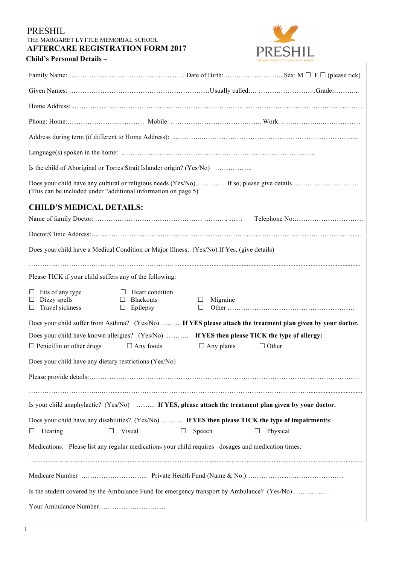#### PRESHIL THE MARGARET LYTTLE MEMORIAL SCHOOL **AFTERCARE REGISTRATION FORM 2017**



**Child's Personal Details –** 

| Is the child of Aboriginal or Torres Strait Islander origin? (Yes/No)                                                             |                                                               |                              |              |  |  |
|-----------------------------------------------------------------------------------------------------------------------------------|---------------------------------------------------------------|------------------------------|--------------|--|--|
| (This can be included under "additional information on page 5)                                                                    |                                                               |                              |              |  |  |
| <b>CHILD'S MEDICAL DETAILS:</b>                                                                                                   |                                                               |                              |              |  |  |
|                                                                                                                                   |                                                               |                              |              |  |  |
|                                                                                                                                   |                                                               |                              |              |  |  |
| Does your child have a Medical Condition or Major Illness: (Yes/No) If Yes, (give details)                                        |                                                               |                              |              |  |  |
|                                                                                                                                   |                                                               |                              |              |  |  |
| Please TICK if your child suffers any of the following:                                                                           |                                                               |                              |              |  |  |
| $\Box$ Fits of any type<br>$\Box$ Dizzy spells<br>$\Box$ Travel sickness                                                          | $\Box$ Heart condition<br>$\Box$ Blackouts<br>$\Box$ Epilepsy | Migraine<br>$\Box$<br>$\Box$ |              |  |  |
| Does your child suffer from Asthma? (Yes/No)  If YES please attach the treatment plan given by your doctor.                       |                                                               |                              |              |  |  |
| Does your child have known allergies? (Yes/No)  If YES then please TICK the type of allergy:                                      |                                                               |                              |              |  |  |
| $\Box$ Penicillin or other drugs                                                                                                  | $\Box$ Any foods                                              | $\Box$ Any plants            | $\Box$ Other |  |  |
| Does your child have any dietary restrictions (Yes/No)                                                                            |                                                               |                              |              |  |  |
|                                                                                                                                   |                                                               |                              |              |  |  |
|                                                                                                                                   |                                                               |                              |              |  |  |
| Is your child anaphylactic? (Yes/No)  If YES, please attach the treatment plan given by your doctor.                              |                                                               |                              |              |  |  |
| Does your child have any disabilities? (Yes/No)  If YES then please TICK the type of impairment/s:<br>Hearing<br>$\Box$<br>$\Box$ | Visual<br>$\Box$                                              | Speech                       | Physical     |  |  |
| Medications: Please list any regular medications your child requires -dosages and medication times:                               |                                                               |                              |              |  |  |
|                                                                                                                                   |                                                               |                              |              |  |  |
| Is the student covered by the Ambulance Fund for emergency transport by Ambulance? (Yes/No)                                       |                                                               |                              |              |  |  |
|                                                                                                                                   |                                                               |                              |              |  |  |
|                                                                                                                                   |                                                               |                              |              |  |  |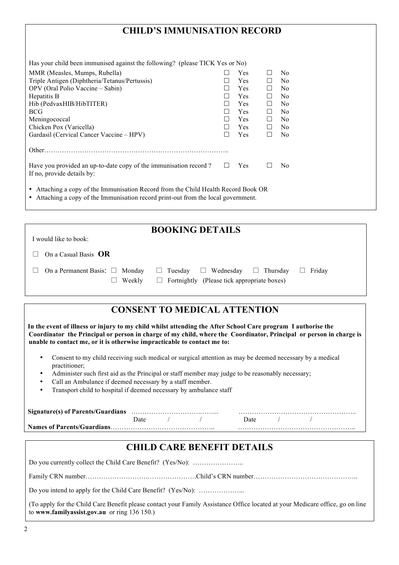### **CHILD'S IMMUNISATION RECORD**

| Has your child been immunised against the following? (please TICK Yes or No)                                                                                             |  |            |              |                |  |
|--------------------------------------------------------------------------------------------------------------------------------------------------------------------------|--|------------|--------------|----------------|--|
| MMR (Measles, Mumps, Rubella)                                                                                                                                            |  | <b>Yes</b> |              | No.            |  |
| Triple Antigen (Diphtheria/Tetanus/Pertussis)                                                                                                                            |  | <b>Yes</b> |              | N <sub>0</sub> |  |
| OPV (Oral Polio Vaccine – Sabin)                                                                                                                                         |  | <b>Yes</b> | H            | N <sub>0</sub> |  |
| Hepatitis B                                                                                                                                                              |  | <b>Yes</b> |              | N <sub>0</sub> |  |
| Hib (PedvaxHIB/HibTITER)                                                                                                                                                 |  | <b>Yes</b> |              | N <sub>0</sub> |  |
| <b>BCG</b>                                                                                                                                                               |  | <b>Yes</b> |              | N <sub>0</sub> |  |
| Meningococcal                                                                                                                                                            |  | <b>Yes</b> | $\mathsf{L}$ | N <sub>0</sub> |  |
| Chicken Pox (Varicella)                                                                                                                                                  |  | <b>Yes</b> |              | N <sub>0</sub> |  |
| Gardasil (Cervical Cancer Vaccine – HPV)                                                                                                                                 |  | <b>Yes</b> |              | N <sub>0</sub> |  |
| Other.                                                                                                                                                                   |  |            |              |                |  |
| Have you provided an up-to-date copy of the immunisation record?<br>If no, provide details by:                                                                           |  | <b>Yes</b> |              | N <sub>0</sub> |  |
| • Attaching a copy of the Immunisation Record from the Child Health Record Book OR<br>• Attaching a copy of the Immunisation record print-out from the local government. |  |            |              |                |  |

**BOOKING DETAILS** I would like to book: □ On a Casual Basis **OR**  $\Box$  On a Permanent Basis:  $\Box$  Monday  $\Box$  Tuesday  $\Box$  Wednesday  $\Box$  Thursday  $\Box$  Friday

| Weekly |  |
|--------|--|

 $\Box$  Fortnightly (Please tick appropriate boxes)

# **CONSENT TO MEDICAL ATTENTION**

**In the event of illness or injury to my child whilst attending the After School Care program I authorise the Coordinator the Principal or person in charge of my child, where the Coordinator, Principal or person in charge is unable to contact me, or it is otherwise impracticable to contact me to:**

- Consent to my child receiving such medical or surgical attention as may be deemed necessary by a medical practitioner;
- Administer such first aid as the Principal or staff member may judge to be reasonably necessary;
- Call an Ambulance if deemed necessary by a staff member.
- Transport child to hospital if deemed necessary by ambulance staff

|                            | )ate |  | Date. |  |
|----------------------------|------|--|-------|--|
| Names of Parents/Guardians |      |  |       |  |

| <b>CHILD CARE BENEFIT DETAILS</b>                                                                                                                                             |  |  |  |  |
|-------------------------------------------------------------------------------------------------------------------------------------------------------------------------------|--|--|--|--|
| Do you currently collect the Child Care Benefit? (Yes/No):                                                                                                                    |  |  |  |  |
|                                                                                                                                                                               |  |  |  |  |
|                                                                                                                                                                               |  |  |  |  |
| (To apply for the Child Care Benefit please contact your Family Assistance Office located at your Medicare office, go on line<br>to www.familyassist.gov.au or ring 136 150.) |  |  |  |  |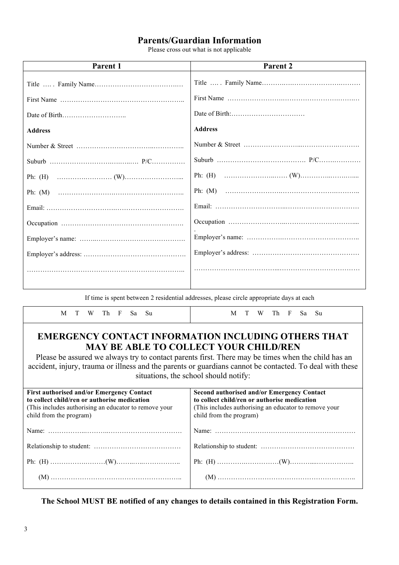#### **Parents/Guardian Information**

Please cross out what is not applicable

| Parent 1       | Parent 2       |
|----------------|----------------|
|                |                |
|                |                |
|                |                |
| <b>Address</b> | <b>Address</b> |
|                |                |
|                |                |
|                |                |
|                |                |
|                |                |
|                |                |
|                |                |
|                |                |
|                |                |
|                |                |

If time is spent between 2 residential addresses, please circle appropriate days at each

| M T W Th F Sa Su                                                                                                                                                                                                                                                                                                                                                      | W Th F Sa Su<br>M T                                                                                                                                                                                                                                                                                       |  |  |
|-----------------------------------------------------------------------------------------------------------------------------------------------------------------------------------------------------------------------------------------------------------------------------------------------------------------------------------------------------------------------|-----------------------------------------------------------------------------------------------------------------------------------------------------------------------------------------------------------------------------------------------------------------------------------------------------------|--|--|
| <b>EMERGENCY CONTACT INFORMATION INCLUDING OTHERS THAT</b><br><b>MAY BE ABLE TO COLLECT YOUR CHILD/REN</b><br>Please be assured we always try to contact parents first. There may be times when the child has an<br>accident, injury, trauma or illness and the parents or guardians cannot be contacted. To deal with these<br>situations, the school should notify: |                                                                                                                                                                                                                                                                                                           |  |  |
| <b>First authorised and/or Emergency Contact</b><br>to collect child/ren or authorise medication<br>(This includes authorising an educator to remove your<br>child from the program)                                                                                                                                                                                  | Second authorised and/or Emergency Contact<br>to collect child/ren or authorise medication<br>(This includes authorising an educator to remove your)<br>child from the program)                                                                                                                           |  |  |
|                                                                                                                                                                                                                                                                                                                                                                       |                                                                                                                                                                                                                                                                                                           |  |  |
|                                                                                                                                                                                                                                                                                                                                                                       |                                                                                                                                                                                                                                                                                                           |  |  |
|                                                                                                                                                                                                                                                                                                                                                                       |                                                                                                                                                                                                                                                                                                           |  |  |
|                                                                                                                                                                                                                                                                                                                                                                       | $(M) \hspace{0.05cm} \ldots \hspace{0.05cm} \ldots \hspace{0.05cm} \ldots \hspace{0.05cm} \ldots \hspace{0.05cm} \ldots \hspace{0.05cm} \ldots \hspace{0.05cm} \ldots \hspace{0.05cm} \ldots \hspace{0.05cm} \ldots \hspace{0.05cm} \ldots \hspace{0.05cm} \ldots \hspace{0.05cm} \ldots \hspace{0.05cm}$ |  |  |

**The School MUST BE notified of any changes to details contained in this Registration Form.**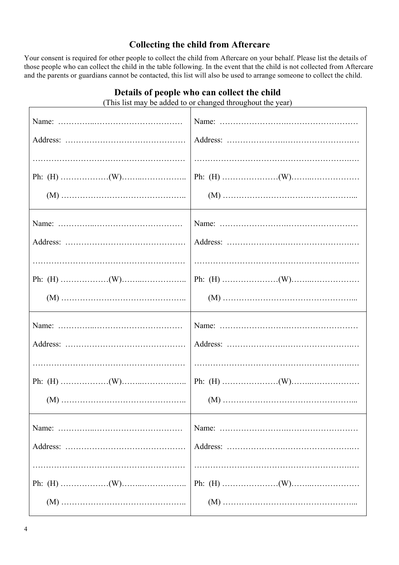### **Collecting the child from Aftercare**

Your consent is required for other people to collect the child from Aftercare on your behalf. Please list the details of those people who can collect the child in the table following. In the event that the child is not collected from Aftercare and the parents or guardians cannot be contacted, this list will also be used to arrange someone to collect the child.

| (This list may be added to or changed throughout the year) |  |  |  |  |
|------------------------------------------------------------|--|--|--|--|
|                                                            |  |  |  |  |
|                                                            |  |  |  |  |
|                                                            |  |  |  |  |
|                                                            |  |  |  |  |
|                                                            |  |  |  |  |
|                                                            |  |  |  |  |
|                                                            |  |  |  |  |
|                                                            |  |  |  |  |
|                                                            |  |  |  |  |
|                                                            |  |  |  |  |
|                                                            |  |  |  |  |
|                                                            |  |  |  |  |
|                                                            |  |  |  |  |
|                                                            |  |  |  |  |
|                                                            |  |  |  |  |
|                                                            |  |  |  |  |
|                                                            |  |  |  |  |
|                                                            |  |  |  |  |
|                                                            |  |  |  |  |
|                                                            |  |  |  |  |

**Details of people who can collect the child**